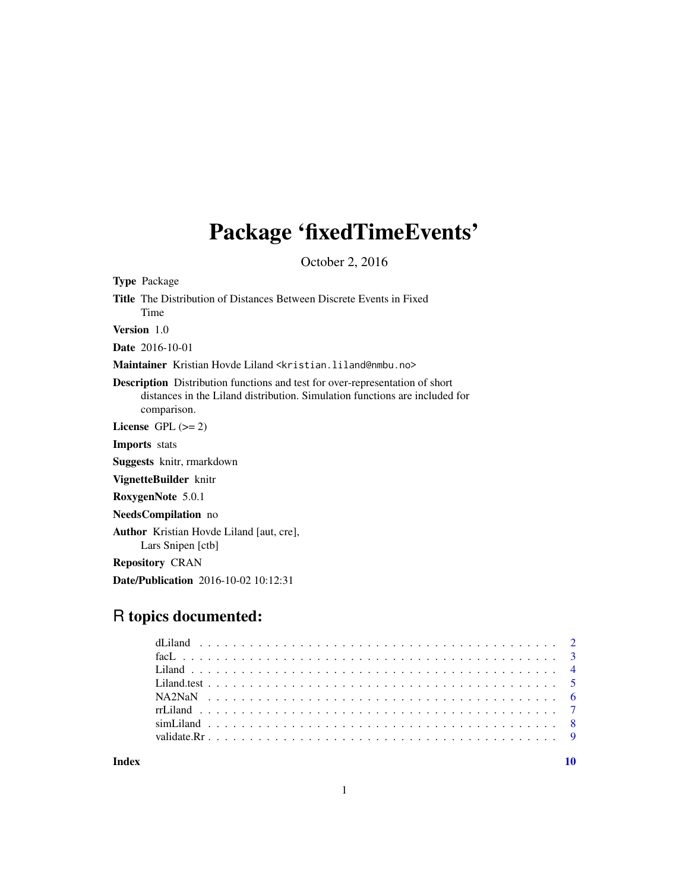## Package 'fixedTimeEvents'

October 2, 2016

Type Package Title The Distribution of Distances Between Discrete Events in Fixed Time Version 1.0 Date 2016-10-01 Maintainer Kristian Hovde Liland <kristian.liland@nmbu.no> Description Distribution functions and test for over-representation of short distances in the Liland distribution. Simulation functions are included for comparison. License GPL  $(>= 2)$ Imports stats Suggests knitr, rmarkdown VignetteBuilder knitr RoxygenNote 5.0.1 NeedsCompilation no Author Kristian Hovde Liland [aut, cre], Lars Snipen [ctb] Repository CRAN Date/Publication 2016-10-02 10:12:31

### R topics documented:

 $\blacksquare$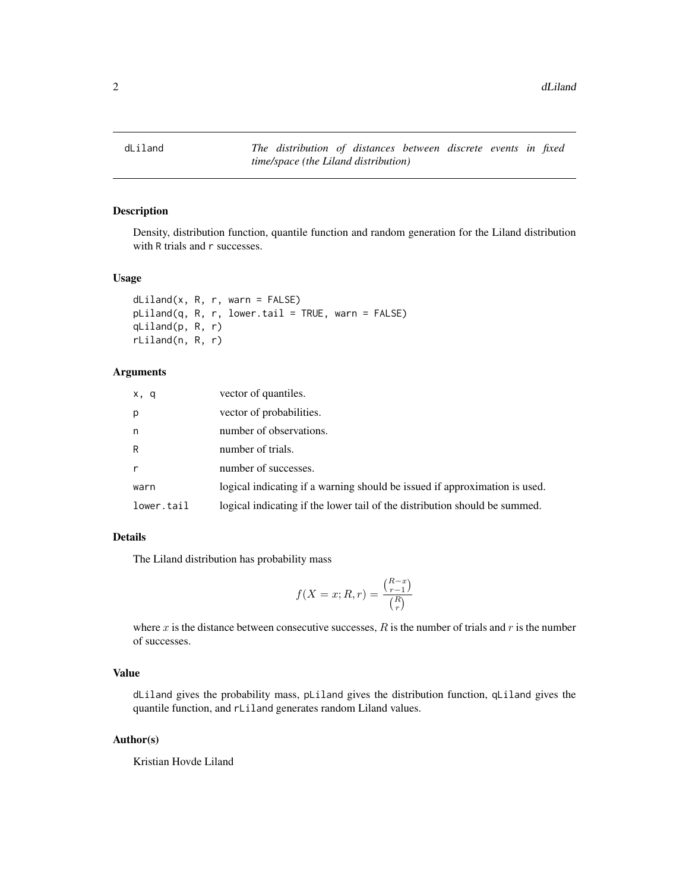<span id="page-1-1"></span><span id="page-1-0"></span>dLiland *The distribution of distances between discrete events in fixed time/space (the Liland distribution)*

#### Description

Density, distribution function, quantile function and random generation for the Liland distribution with R trials and r successes.

#### Usage

```
dLiland(x, R, r, warn = FALSE)
pliland(q, R, r, lowertail = TRUE, warn = FALSE)qLiland(p, R, r)
rLiland(n, R, r)
```
#### Arguments

| x, q         | vector of quantiles.                                                       |
|--------------|----------------------------------------------------------------------------|
| p            | vector of probabilities.                                                   |
| n            | number of observations.                                                    |
| R            | number of trials.                                                          |
| $\mathsf{r}$ | number of successes.                                                       |
| warn         | logical indicating if a warning should be issued if approximation is used. |
| lower.tail   | logical indicating if the lower tail of the distribution should be summed. |

#### Details

The Liland distribution has probability mass

$$
f(X = x; R, r) = \frac{\binom{R-x}{r-1}}{\binom{R}{r}}
$$

where  $x$  is the distance between consecutive successes,  $R$  is the number of trials and  $r$  is the number of successes.

#### Value

dLiland gives the probability mass, pLiland gives the distribution function, qLiland gives the quantile function, and rLiland generates random Liland values.

#### Author(s)

Kristian Hovde Liland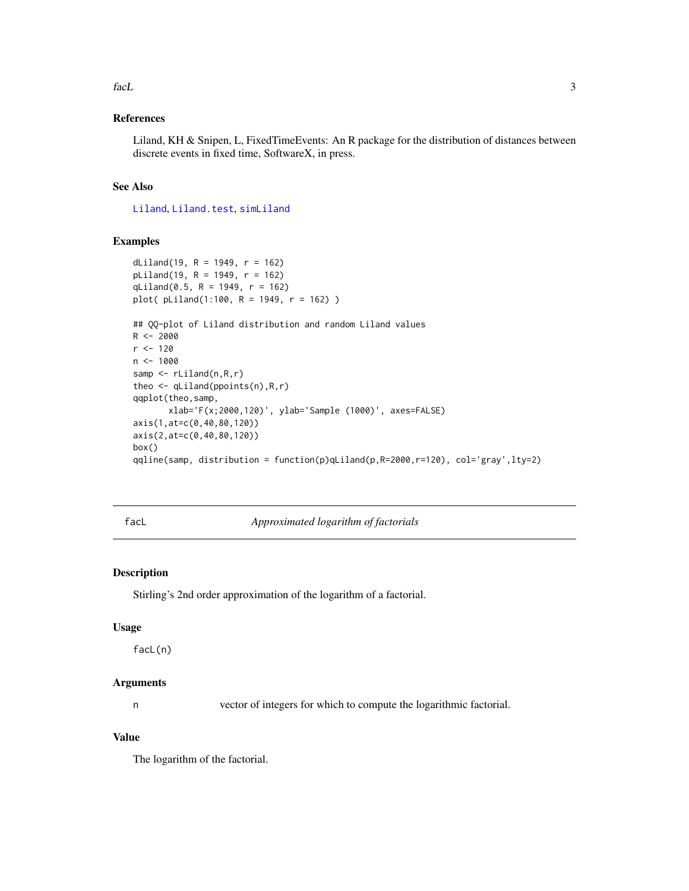#### <span id="page-2-0"></span>facL 3

#### References

Liland, KH & Snipen, L, FixedTimeEvents: An R package for the distribution of distances between discrete events in fixed time, SoftwareX, in press.

#### See Also

[Liland](#page-3-1), [Liland.test](#page-4-1), [simLiland](#page-7-1)

#### Examples

```
dLiland(19, R = 1949, r = 162)
pLiland(19, R = 1949, r = 162)
qLiland(0.5, R = 1949, r = 162)
plot( pLiland(1:100, R = 1949, r = 162) )
## QQ-plot of Liland distribution and random Liland values
R < -2000r <- 120
n < -1000samp \leq rLiland(n,R,r)
theo \leq qLiland(ppoints(n), R, r)
qqplot(theo,samp,
       xlab='F(x;2000,120)', ylab='Sample (1000)', axes=FALSE)
axis(1,at=c(0,40,80,120))
axis(2,at=c(0,40,80,120))
box()
qqline(samp, distribution = function(p)qLiland(p,R=2000,r=120), col='gray',lty=2)
```
facL *Approximated logarithm of factorials*

#### Description

Stirling's 2nd order approximation of the logarithm of a factorial.

#### Usage

facL(n)

#### Arguments

n vector of integers for which to compute the logarithmic factorial.

#### Value

The logarithm of the factorial.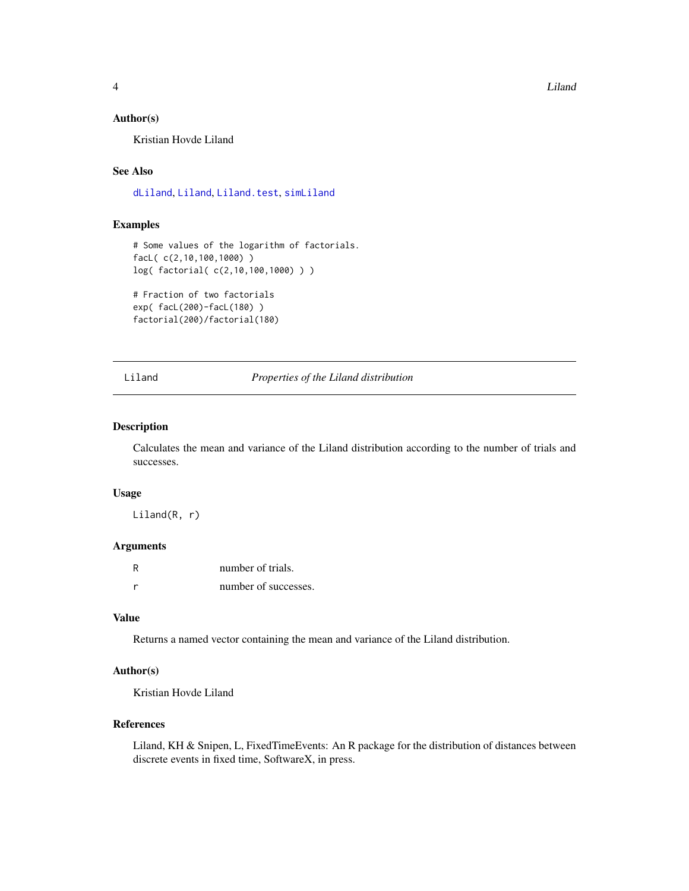<span id="page-3-0"></span>4 Liland

#### Author(s)

Kristian Hovde Liland

#### See Also

[dLiland](#page-1-1), [Liland](#page-3-1), [Liland.test](#page-4-1), [simLiland](#page-7-1)

#### Examples

```
# Some values of the logarithm of factorials.
facL( c(2,10,100,1000) )
log( factorial( c(2,10,100,1000) ) )
# Fraction of two factorials
```

```
exp( facL(200)-facL(180) )
factorial(200)/factorial(180)
```
<span id="page-3-1"></span>Liland *Properties of the Liland distribution*

#### Description

Calculates the mean and variance of the Liland distribution according to the number of trials and successes.

#### Usage

Liland(R, r)

#### Arguments

| R | number of trials.    |
|---|----------------------|
| r | number of successes. |

#### Value

Returns a named vector containing the mean and variance of the Liland distribution.

#### Author(s)

Kristian Hovde Liland

#### References

Liland, KH & Snipen, L, FixedTimeEvents: An R package for the distribution of distances between discrete events in fixed time, SoftwareX, in press.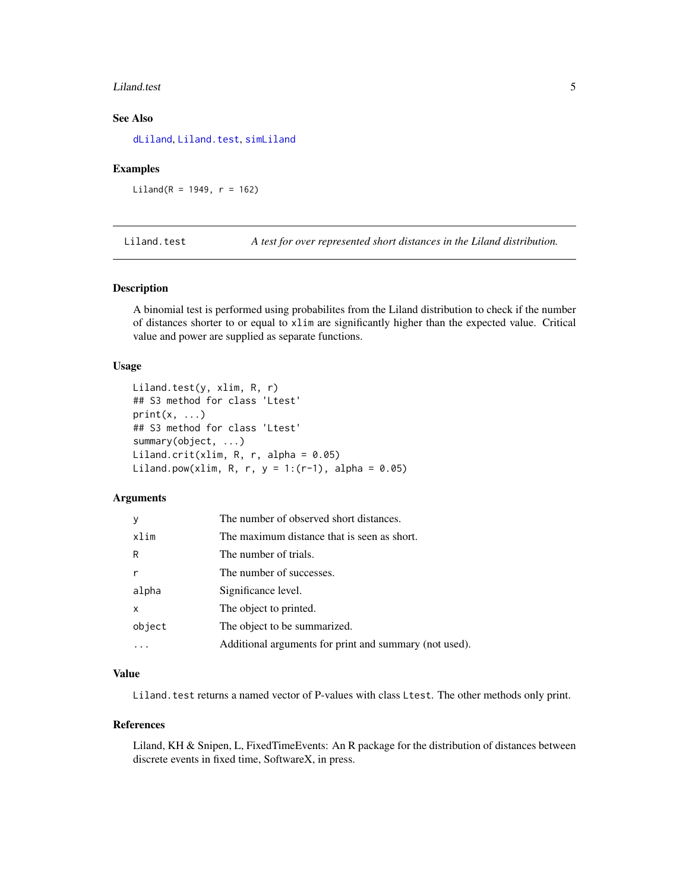#### <span id="page-4-0"></span>Liland.test 5

#### See Also

[dLiland](#page-1-1), [Liland.test](#page-4-1), [simLiland](#page-7-1)

#### Examples

 $Liland(R = 1949, r = 162)$ 

<span id="page-4-1"></span>Liland.test *A test for over represented short distances in the Liland distribution.*

#### Description

A binomial test is performed using probabilites from the Liland distribution to check if the number of distances shorter to or equal to xlim are significantly higher than the expected value. Critical value and power are supplied as separate functions.

#### Usage

```
Liland.test(y, xlim, R, r)
## S3 method for class 'Ltest'
print(x, \ldots)## S3 method for class 'Ltest'
summary(object, ...)
Liland.crit(xlim, R, r, alpha = 0.05)
Liland.pow(xlim, R, r, y = 1:(r-1), alpha = 0.05)
```
#### **Arguments**

| y      | The number of observed short distances.                |
|--------|--------------------------------------------------------|
| xlim   | The maximum distance that is seen as short.            |
| R      | The number of trials.                                  |
| r      | The number of successes.                               |
| alpha  | Significance level.                                    |
| x      | The object to printed.                                 |
| object | The object to be summarized.                           |
|        | Additional arguments for print and summary (not used). |

#### Value

Liland. test returns a named vector of P-values with class Ltest. The other methods only print.

#### References

Liland, KH & Snipen, L, FixedTimeEvents: An R package for the distribution of distances between discrete events in fixed time, SoftwareX, in press.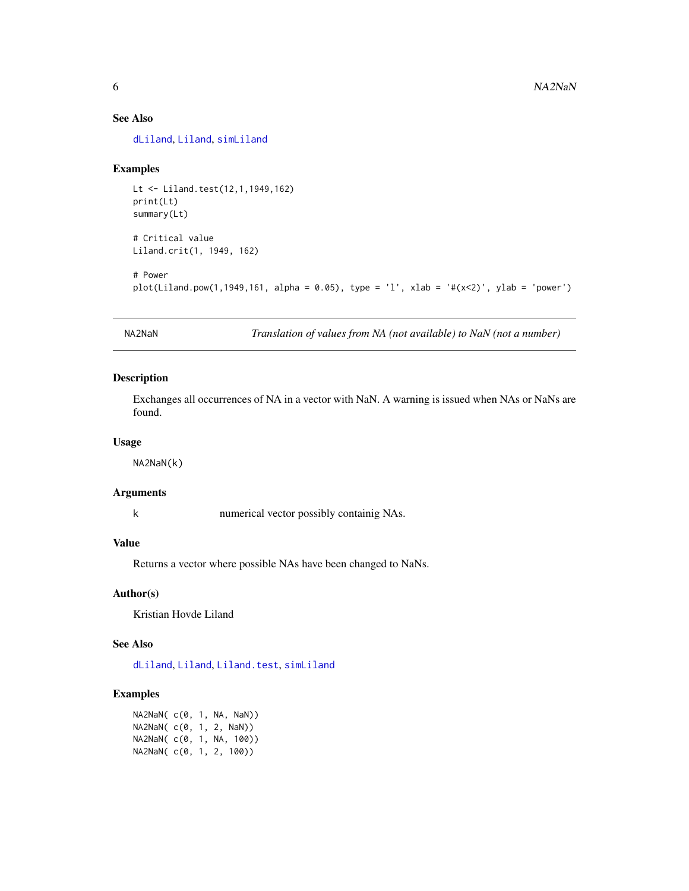#### <span id="page-5-0"></span>See Also

[dLiland](#page-1-1), [Liland](#page-3-1), [simLiland](#page-7-1)

#### Examples

```
Lt <- Liland.test(12,1,1949,162)
print(Lt)
summary(Lt)
# Critical value
Liland.crit(1, 1949, 162)
# Power
plot(Liland.pow(1,1949,161, alpha = 0.05), type = 'l', xlab = '#(x<2)', ylab = 'power')
```
NA2NaN *Translation of values from NA (not available) to NaN (not a number)*

#### Description

Exchanges all occurrences of NA in a vector with NaN. A warning is issued when NAs or NaNs are found.

#### Usage

NA2NaN(k)

#### Arguments

k numerical vector possibly containig NAs.

#### Value

Returns a vector where possible NAs have been changed to NaNs.

#### Author(s)

Kristian Hovde Liland

#### See Also

[dLiland](#page-1-1), [Liland](#page-3-1), [Liland.test](#page-4-1), [simLiland](#page-7-1)

#### Examples

NA2NaN( c(0, 1, NA, NaN)) NA2NaN( c(0, 1, 2, NaN)) NA2NaN( c(0, 1, NA, 100)) NA2NaN( c(0, 1, 2, 100))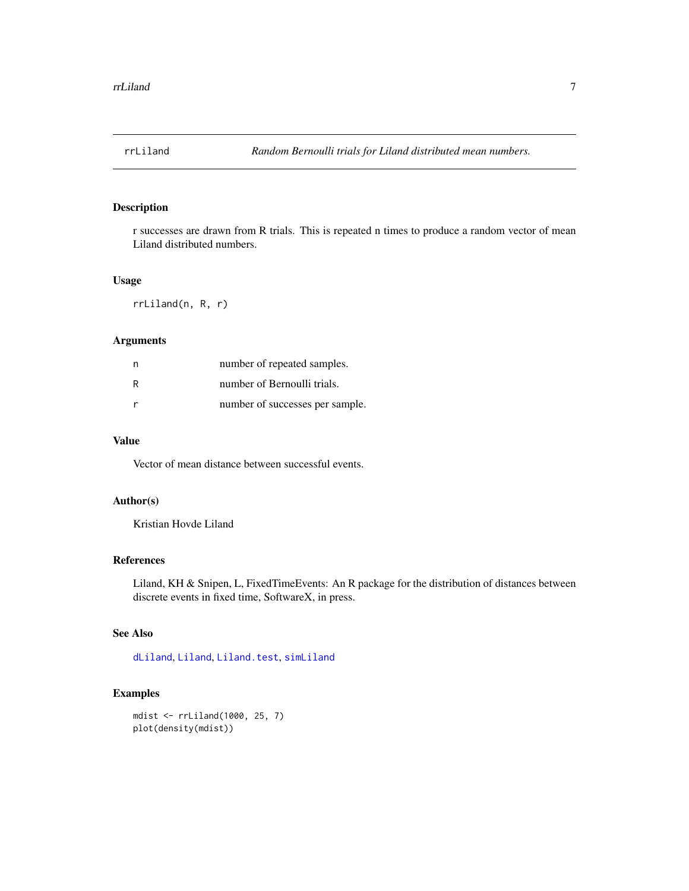<span id="page-6-0"></span>

#### Description

r successes are drawn from R trials. This is repeated n times to produce a random vector of mean Liland distributed numbers.

#### Usage

rrLiland(n, R, r)

#### Arguments

| n | number of repeated samples.     |
|---|---------------------------------|
| R | number of Bernoulli trials.     |
|   | number of successes per sample. |

#### Value

Vector of mean distance between successful events.

#### Author(s)

Kristian Hovde Liland

#### References

Liland, KH & Snipen, L, FixedTimeEvents: An R package for the distribution of distances between discrete events in fixed time, SoftwareX, in press.

#### See Also

[dLiland](#page-1-1), [Liland](#page-3-1), [Liland.test](#page-4-1), [simLiland](#page-7-1)

#### Examples

```
mdist <- rrLiland(1000, 25, 7)
plot(density(mdist))
```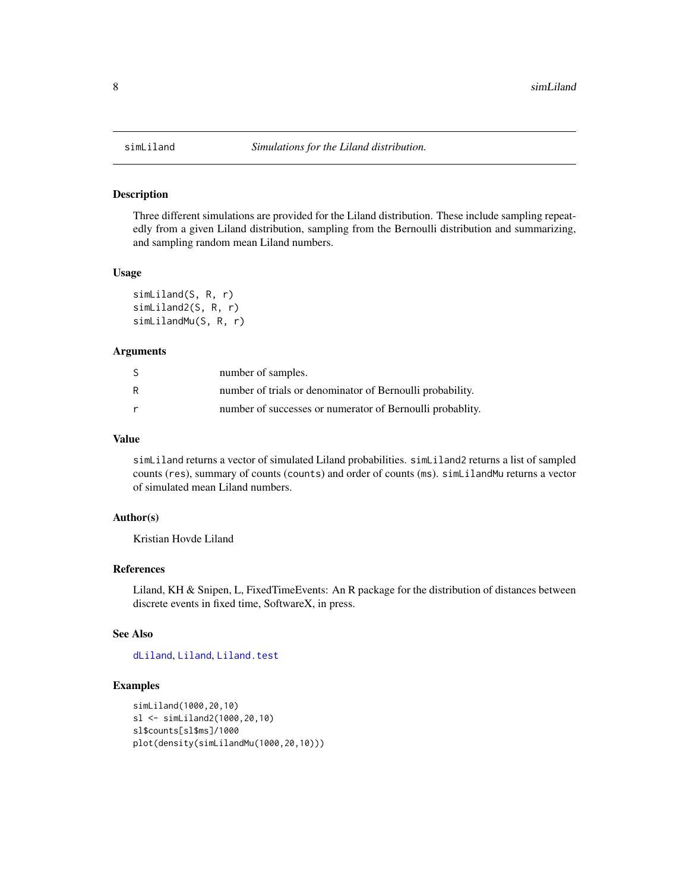<span id="page-7-1"></span><span id="page-7-0"></span>

#### Description

Three different simulations are provided for the Liland distribution. These include sampling repeatedly from a given Liland distribution, sampling from the Bernoulli distribution and summarizing, and sampling random mean Liland numbers.

#### Usage

```
simLiland(S, R, r)
simLiland2(S, R, r)
simLilandMu(S, R, r)
```
#### Arguments

| -S | number of samples.                                         |
|----|------------------------------------------------------------|
| R  | number of trials or denominator of Bernoulli probability.  |
| r  | number of successes or numerator of Bernoulli probability. |

#### Value

simLiland returns a vector of simulated Liland probabilities. simLiland2 returns a list of sampled counts (res), summary of counts (counts) and order of counts (ms). simLilandMu returns a vector of simulated mean Liland numbers.

#### Author(s)

Kristian Hovde Liland

#### References

Liland, KH & Snipen, L, FixedTimeEvents: An R package for the distribution of distances between discrete events in fixed time, SoftwareX, in press.

#### See Also

[dLiland](#page-1-1), [Liland](#page-3-1), [Liland.test](#page-4-1)

#### Examples

```
simLiland(1000,20,10)
sl <- simLiland2(1000,20,10)
sl$counts[sl$ms]/1000
plot(density(simLilandMu(1000,20,10)))
```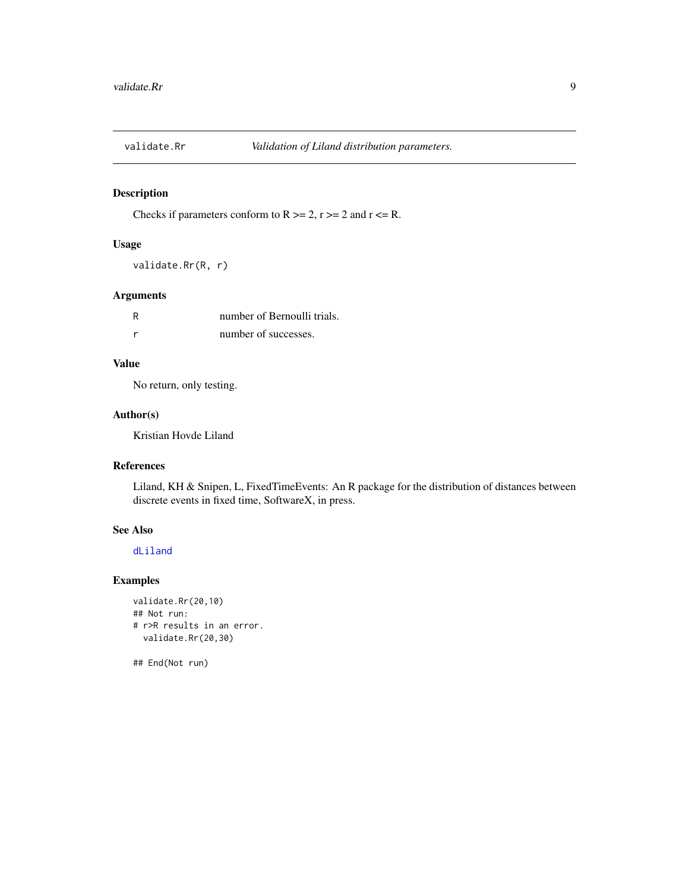<span id="page-8-0"></span>

#### Description

Checks if parameters conform to  $R \ge 2$ ,  $r \ge 2$  and  $r \le R$ .

#### Usage

validate.Rr(R, r)

#### Arguments

| R | number of Bernoulli trials. |
|---|-----------------------------|
|   | number of successes.        |

#### Value

No return, only testing.

#### Author(s)

Kristian Hovde Liland

#### References

Liland, KH & Snipen, L, FixedTimeEvents: An R package for the distribution of distances between discrete events in fixed time, SoftwareX, in press.

#### See Also

#### [dLiland](#page-1-1)

#### Examples

```
validate.Rr(20,10)
## Not run:
# r>R results in an error.
  validate.Rr(20,30)
```
## End(Not run)